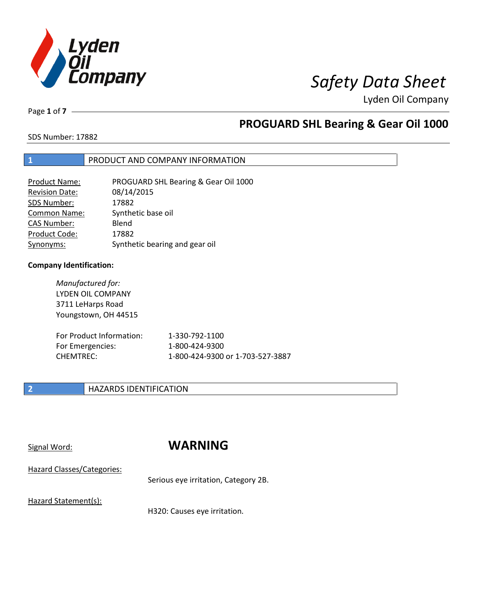

Page **1** of **7**

## **PROGUARD SHL Bearing & Gear Oil 1000**

SDS Number: 17882

### **1** PRODUCT AND COMPANY INFORMATION

| <b>Product Name:</b>  | PROGUARD SHL Bearing & Gear Oil 1000 |
|-----------------------|--------------------------------------|
| <b>Revision Date:</b> | 08/14/2015                           |
| SDS Number:           | 17882                                |
| <b>Common Name:</b>   | Synthetic base oil                   |
| <b>CAS Number:</b>    | Blend                                |
| Product Code:         | 17882                                |
| Synonyms:             | Synthetic bearing and gear oil       |

### **Company Identification:**

*Manufactured for:* LYDEN OIL COMPANY 3711 LeHarps Road Youngstown, OH 44515

| For Product Information: | 1-330-792-1100                   |
|--------------------------|----------------------------------|
| For Emergencies:         | 1-800-424-9300                   |
| CHEMTREC:                | 1-800-424-9300 or 1-703-527-3887 |

### **2 HAZARDS IDENTIFICATION**

## Signal Word: **WARNING**

Hazard Classes/Categories:

Serious eye irritation, Category 2B.

Hazard Statement(s):

H320: Causes eye irritation.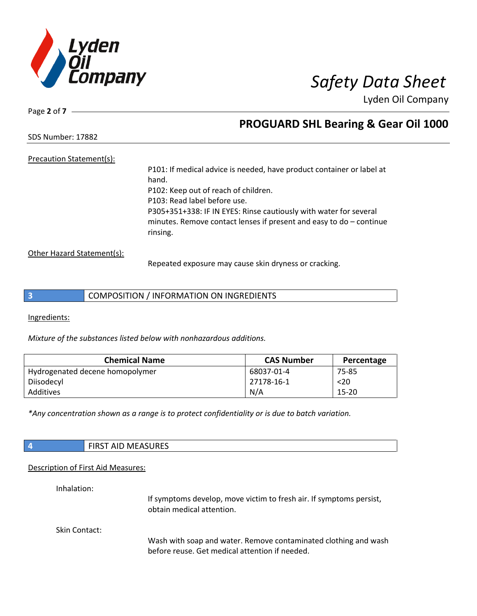

Page **2** of **7**

## **PROGUARD SHL Bearing & Gear Oil 1000**

SDS Number: 17882

### Precaution Statement(s):

P101: If medical advice is needed, have product container or label at hand. P102: Keep out of reach of children. P103: Read label before use. P305+351+338: IF IN EYES: Rinse cautiously with water for several minutes. Remove contact lenses if present and easy to do – continue rinsing.

Other Hazard Statement(s):

Repeated exposure may cause skin dryness or cracking.

Ingredients:

*Mixture of the substances listed below with nonhazardous additions.*

| <b>Chemical Name</b>            | <b>CAS Number</b> | Percentage |
|---------------------------------|-------------------|------------|
| Hydrogenated decene homopolymer | 68037-01-4        | 75-85      |
| Diisodecyl                      | 27178-16-1        | $<$ 20     |
| Additives                       | N/A               | 15-20      |

*\*Any concentration shown as a range is to protect confidentiality or is due to batch variation.*

| <b>FIRST AID MEASURES</b> |
|---------------------------|
|                           |

### Description of First Aid Measures:

Inhalation:

If symptoms develop, move victim to fresh air. If symptoms persist, obtain medical attention.

Skin Contact:

Wash with soap and water. Remove contaminated clothing and wash before reuse. Get medical attention if needed.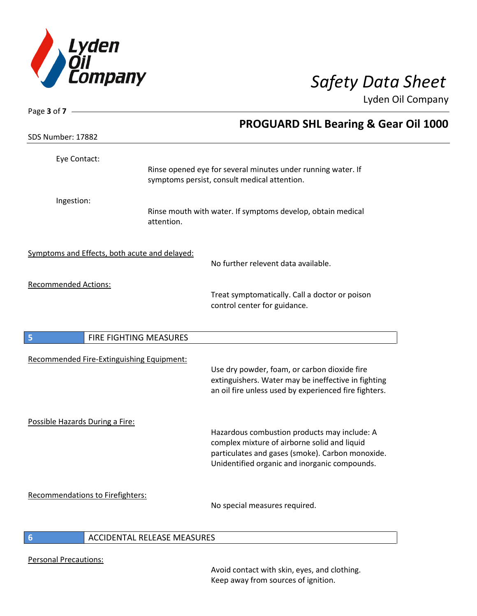

|                                           | <b>PROGUARD SHL Bearing &amp; Gear Oil 1000</b>                                                                                                                                                   |                                                                                                                                                                                                                               |
|-------------------------------------------|---------------------------------------------------------------------------------------------------------------------------------------------------------------------------------------------------|-------------------------------------------------------------------------------------------------------------------------------------------------------------------------------------------------------------------------------|
|                                           |                                                                                                                                                                                                   |                                                                                                                                                                                                                               |
|                                           |                                                                                                                                                                                                   |                                                                                                                                                                                                                               |
|                                           |                                                                                                                                                                                                   |                                                                                                                                                                                                                               |
| attention.                                |                                                                                                                                                                                                   |                                                                                                                                                                                                                               |
|                                           |                                                                                                                                                                                                   |                                                                                                                                                                                                                               |
|                                           | No further relevent data available.                                                                                                                                                               |                                                                                                                                                                                                                               |
|                                           |                                                                                                                                                                                                   |                                                                                                                                                                                                                               |
|                                           | control center for guidance.                                                                                                                                                                      |                                                                                                                                                                                                                               |
| FIRE FIGHTING MEASURES                    |                                                                                                                                                                                                   |                                                                                                                                                                                                                               |
| Recommended Fire-Extinguishing Equipment: |                                                                                                                                                                                                   |                                                                                                                                                                                                                               |
|                                           | Use dry powder, foam, or carbon dioxide fire<br>extinguishers. Water may be ineffective in fighting<br>an oil fire unless used by experienced fire fighters.                                      |                                                                                                                                                                                                                               |
| Possible Hazards During a Fire:           |                                                                                                                                                                                                   |                                                                                                                                                                                                                               |
|                                           | Hazardous combustion products may include: A<br>complex mixture of airborne solid and liquid<br>particulates and gases (smoke). Carbon monoxide.<br>Unidentified organic and inorganic compounds. |                                                                                                                                                                                                                               |
|                                           |                                                                                                                                                                                                   |                                                                                                                                                                                                                               |
|                                           | Symptoms and Effects, both acute and delayed:                                                                                                                                                     | Rinse opened eye for several minutes under running water. If<br>symptoms persist, consult medical attention.<br>Rinse mouth with water. If symptoms develop, obtain medical<br>Treat symptomatically. Call a doctor or poison |

### **6** ACCIDENTAL RELEASE MEASURES

Personal Precautions:

Avoid contact with skin, eyes, and clothing. Keep away from sources of ignition.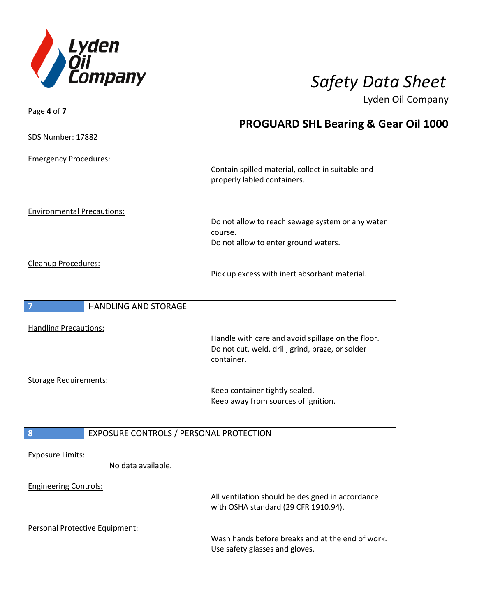

| Page 4 of 7 -                |                                         |                                                                                  |
|------------------------------|-----------------------------------------|----------------------------------------------------------------------------------|
|                              |                                         | <b>PROGUARD SHL Bearing &amp; Gear Oil 1000</b>                                  |
| SDS Number: 17882            |                                         |                                                                                  |
|                              |                                         |                                                                                  |
| <b>Emergency Procedures:</b> |                                         |                                                                                  |
|                              |                                         | Contain spilled material, collect in suitable and<br>properly labled containers. |
|                              |                                         |                                                                                  |
|                              | <b>Environmental Precautions:</b>       |                                                                                  |
|                              |                                         | Do not allow to reach sewage system or any water                                 |
|                              |                                         | course.                                                                          |
|                              |                                         | Do not allow to enter ground waters.                                             |
| Cleanup Procedures:          |                                         |                                                                                  |
|                              |                                         | Pick up excess with inert absorbant material.                                    |
|                              |                                         |                                                                                  |
|                              | <b>HANDLING AND STORAGE</b>             |                                                                                  |
|                              |                                         |                                                                                  |
| <b>Handling Precautions:</b> |                                         | Handle with care and avoid spillage on the floor.                                |
|                              |                                         | Do not cut, weld, drill, grind, braze, or solder                                 |
|                              |                                         | container.                                                                       |
|                              |                                         |                                                                                  |
| <b>Storage Requirements:</b> |                                         | Keep container tightly sealed.                                                   |
|                              |                                         | Keep away from sources of ignition.                                              |
|                              |                                         |                                                                                  |
| 8                            | EXPOSURE CONTROLS / PERSONAL PROTECTION |                                                                                  |
|                              |                                         |                                                                                  |
| <b>Exposure Limits:</b>      |                                         |                                                                                  |
|                              | No data available.                      |                                                                                  |
| <b>Engineering Controls:</b> |                                         |                                                                                  |
|                              |                                         | All ventilation should be designed in accordance                                 |
|                              |                                         | with OSHA standard (29 CFR 1910.94).                                             |
|                              | Personal Protective Equipment:          |                                                                                  |
|                              |                                         | Wash hands before breaks and at the end of work.                                 |

Use safety glasses and gloves.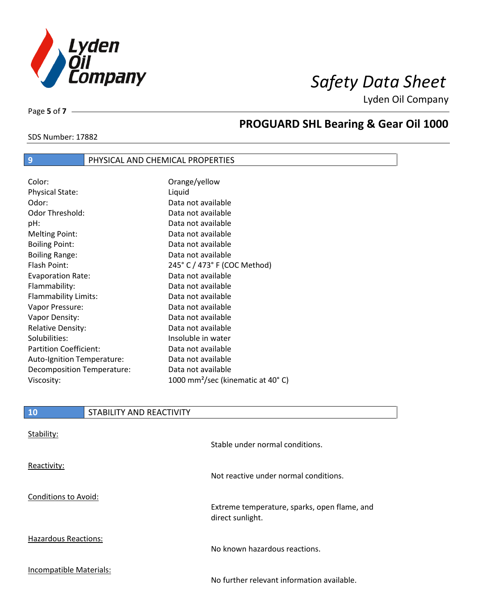

Page **5** of **7**

# **PROGUARD SHL Bearing & Gear Oil 1000**

### SDS Number: 17882

## **9** PHYSICAL AND CHEMICAL PROPERTIES

| Color:                        | Orange/yellow                                 |
|-------------------------------|-----------------------------------------------|
| <b>Physical State:</b>        | Liquid                                        |
| Odor:                         | Data not available                            |
| Odor Threshold:               | Data not available                            |
| pH:                           | Data not available                            |
| <b>Melting Point:</b>         | Data not available                            |
| <b>Boiling Point:</b>         | Data not available                            |
| <b>Boiling Range:</b>         | Data not available                            |
| Flash Point:                  | 245° C / 473° F (COC Method)                  |
| <b>Evaporation Rate:</b>      | Data not available                            |
| Flammability:                 | Data not available                            |
| Flammability Limits:          | Data not available                            |
| Vapor Pressure:               | Data not available                            |
| Vapor Density:                | Data not available                            |
| <b>Relative Density:</b>      | Data not available                            |
| Solubilities:                 | Insoluble in water                            |
| <b>Partition Coefficient:</b> | Data not available                            |
| Auto-Ignition Temperature:    | Data not available                            |
| Decomposition Temperature:    | Data not available                            |
| Viscosity:                    | 1000 mm <sup>2</sup> /sec (kinematic at 40°C) |

| 10 | STABILITY AND REACTIVITY |
|----|--------------------------|
|    |                          |

| Stability:                  | Stable under normal conditions.                                  |
|-----------------------------|------------------------------------------------------------------|
| Reactivity:                 | Not reactive under normal conditions.                            |
| Conditions to Avoid:        | Extreme temperature, sparks, open flame, and<br>direct sunlight. |
| <b>Hazardous Reactions:</b> | No known hazardous reactions.                                    |
| Incompatible Materials:     | No further relevant information available.                       |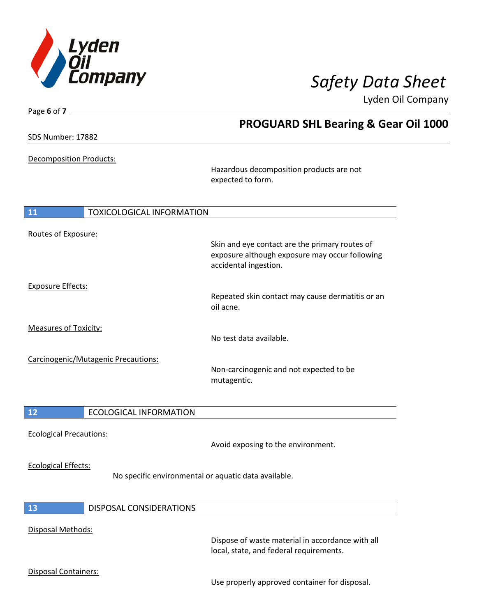

| Page 6 of $7 -$                |                                     |                                                                                                                           |  |
|--------------------------------|-------------------------------------|---------------------------------------------------------------------------------------------------------------------------|--|
| SDS Number: 17882              |                                     | <b>PROGUARD SHL Bearing &amp; Gear Oil 1000</b>                                                                           |  |
|                                |                                     |                                                                                                                           |  |
| <b>Decomposition Products:</b> |                                     | Hazardous decomposition products are not                                                                                  |  |
|                                |                                     | expected to form.                                                                                                         |  |
| 11                             | <b>TOXICOLOGICAL INFORMATION</b>    |                                                                                                                           |  |
|                                |                                     |                                                                                                                           |  |
| Routes of Exposure:            |                                     | Skin and eye contact are the primary routes of<br>exposure although exposure may occur following<br>accidental ingestion. |  |
|                                |                                     |                                                                                                                           |  |
| <b>Exposure Effects:</b>       |                                     |                                                                                                                           |  |
|                                |                                     | Repeated skin contact may cause dermatitis or an<br>oil acne.                                                             |  |
| <b>Measures of Toxicity:</b>   |                                     |                                                                                                                           |  |
|                                |                                     | No test data available.                                                                                                   |  |
|                                | Carcinogenic/Mutagenic Precautions: |                                                                                                                           |  |
|                                |                                     | Non-carcinogenic and not expected to be<br>mutagentic.                                                                    |  |
| 12                             | <b>ECOLOGICAL INFORMATION</b>       |                                                                                                                           |  |
|                                |                                     |                                                                                                                           |  |
| <b>Ecological Precautions:</b> |                                     | Avoid exposing to the environment.                                                                                        |  |
| <b>Ecological Effects:</b>     |                                     | No specific environmental or aquatic data available.                                                                      |  |
|                                |                                     |                                                                                                                           |  |
| 13                             | DISPOSAL CONSIDERATIONS             |                                                                                                                           |  |
|                                |                                     |                                                                                                                           |  |
| Disposal Methods:              |                                     | Dispose of waste material in accordance with all<br>local, state, and federal requirements.                               |  |
| Disposal Containers:           |                                     |                                                                                                                           |  |
|                                |                                     | Use properly approved container for disposal.                                                                             |  |